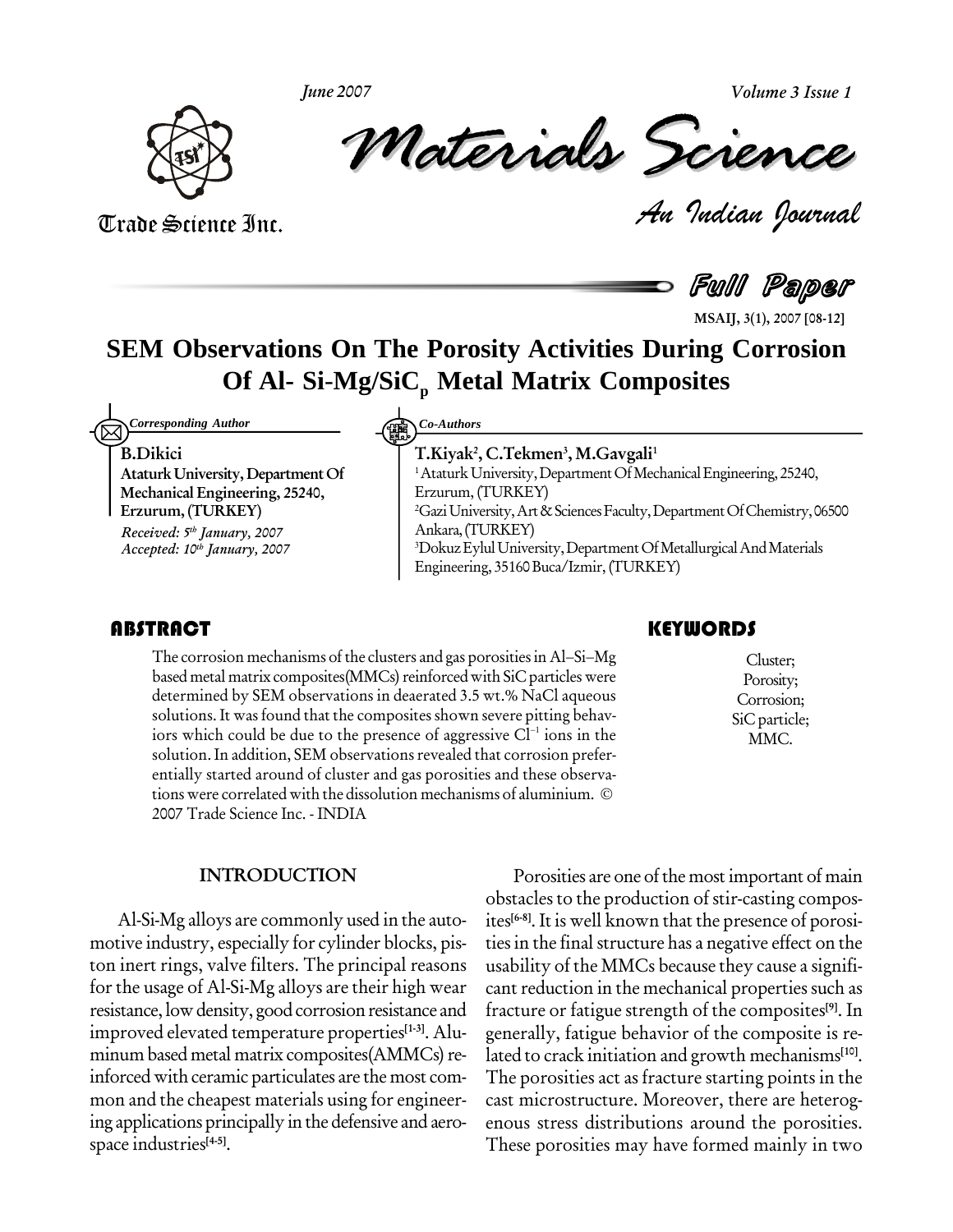**June 2007**

**Volume 3 Issue 1**



Volume 3 Issue 1<br> **CREARCE**<br> *P*udian Dournal *Materials Science*

Trade Science Inc. Trade Science Inc.

Full Paper

**MSAIJ, 3(1), 2007 [08-12]**

## **SEM Observations On The Porosity Activities During Corrosion Of Al- Si**-**Mg/SiC<sup>p</sup> Metal Matrix Composites**

**Corresponding Author** 

**B.Dikici**

**AtaturkUniversity, DepartmentOf Mechanical Engineering, 25240, Erzurum, (TURKEY)**

**Received: 5 th January, 2007 Accepted: 10 th January, 2007**

*Corresponding Author Co-Authors*

**T.Kiyak 2 , C.Tekmen 3 , M.Gavgali 1** <sup>1</sup> Ataturk University, Department Of Mechanical Engineering, 25240, Erzurum, (TURKEY) <sup>2</sup>GaziUniversity,Art&SciencesFaculty,DepartmentOfChemistry,06500 Ankara,(TURKEY) <sup>3</sup>Dokuz Eylul University, Department Of Metallurgical And Materials Engineering, 35160Buca/Izmir,(TURKEY)

The corrosion mechanisms of the clusters and gas porosities in Al–Si–Mg<br>based metal matrix composites (MMCs) reinforced with SiC particles were<br>determined by SEM observations in deaerated 3.5 wt.% NaCl aqueous Corrosion; **TRACT**<br>The corrosion mechanisms of the clusters and gas porosities in Al–Si–Mg based metal matrix composites(MMCs) reinforced with SiC particles were determined by SEM observations in deaerated 3.5 wt.% NaCl aqueous solutions. It was found that the composites shown severe pitting behav iors which could be due to the presence of aggressive  $Cl<sup>-1</sup>$  ions in the solution. In addition, SEM observations revealed that corrosion prefer-<br>entially started around of cluster and gas porosities and these observations were correlated with the dissolution mechanisms of aluminium. © entially started around of cluster and gas porosities and these observa- 2007 Trade Science Inc. - INDIA

Cluster; Porosity; Corrosion; SiC particle; MMC.

### **INTRODUCTION**

Al-Si-Mg alloys are commonly used in the auto motive industry, especially for cylinder blocks, pis ton inert rings, valve filters. The principal reasons for the usage of Al-Si-Mg alloys are their high wear resistance, low density, good corrosion resistance and improved elevated temperature properties **[1-3]**. Alu minum based metal matrix composites(AMMCs) reinforced with ceramic particulates are the most com mon and the cheapest materials using for engineer ing applications principally in the defensive and aero space industries **[4-5]**.

Porosities are one of the most important of main obstacles to the production of stir-casting compos ites **[6-8]**. It is well known that the presence of porosi ties in the final structure has a negative effect on the usability of the MMCs because they cause a signifi cant reduction in the mechanical properties such as fracture or fatigue strength of the composites **[9]**. In generally, fatigue behavior of the composite is re lated to crack initiation and growth mechanisms **[10]**. The porosities act as fracture starting points in the cast microstructure. Moreover, there are heterog enous stress distributions around the porosities. These porosities may have formed mainly in two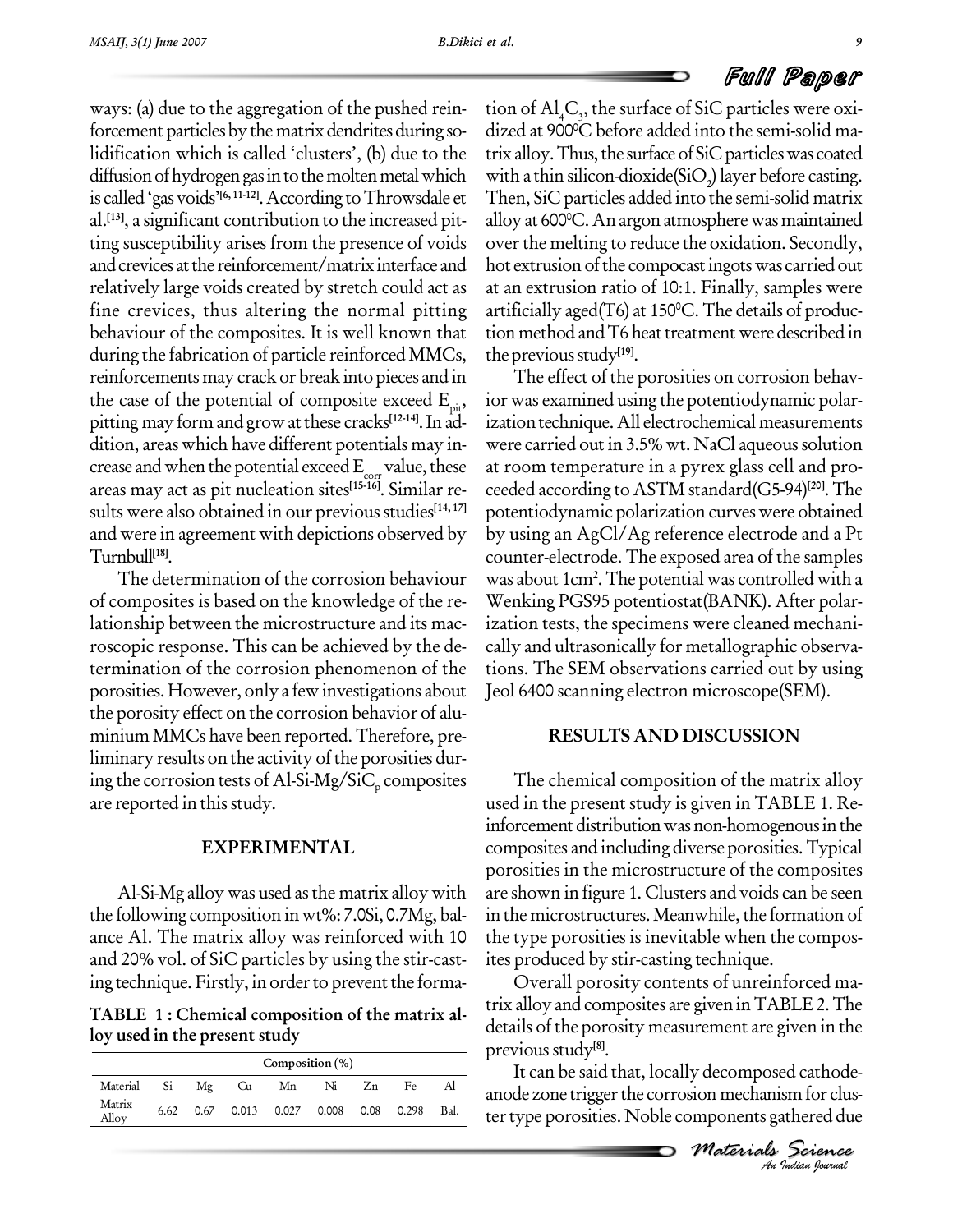## Full Paper

ways: (a) due to the aggregation of the pushed rein forcement particles by the matrix dendrites during solidification which is called 'clusters', (b) due to the diffusion of hydrogen gas in to the molten metal which is called 'gas voids'<sup>[6, 11-12]</sup>. According to Throwsdale et The al. **[13]**, a significant contribution to the increased pit ting susceptibility arises from the presence of voids and crevices at the reinforcement/matrix interface and relatively large voids created by stretch could act as fine crevices, thus altering the normal pitting behaviour of the composites. It is well known that during the fabrication of particle reinforced MMCs, reinforcements may crack or break into pieces and in the case of the potential of composite exceed  $E_{\text{ni}}$ , the case of the potential of composite exceed E<sub>pit</sub>, ior <del>v</del><br>pitting may form and grow at these cracks<sup>[12-14]</sup>. In ad- izati dition, areas which have different potentials may increase and when the potential exceed  $E_{corr}$  value, these areas may act as pit nucleation sites **[15-16]**. Similar re sults were also obtained in our previous studies<sup>[14, 17]</sup> p and were in agreement with depictions observed by Turnbull **[18]**.

The determination of the corrosion behaviour of composites is based on the knowledge of the re lationship between the microstructure and its mac roscopic response. This can be achieved by the de termination of the corrosion phenomenon of the porosities. However, only a fewinvestigations about the porosity effect on the corrosion behavior of alu minium MMCs have been reported.Therefore, pre liminary results on the activity of the porosities during the corrosion tests of Al-Si-Mg/SiC<sub>p</sub> composites are reported in this study.

## **EXPERIMENTAL**

Al-Si-Mg alloy was used asthe matrix alloy with the following composition inwt%: 7.0Si, 0.7Mg, bal ance Al. The matrix alloy was reinforced with 10 and 20% vol. of SiC particles by using the stir-cast ing technique. Firstly, in order to prevent the forma-

**TABLE 1: Chemical composition of the matrix al loy used in the present study**

| Composition $(\% )$ |      |          |  |                                        |  |    |    |      |
|---------------------|------|----------|--|----------------------------------------|--|----|----|------|
| Material            |      | Si Mg Cu |  | Mn Ni                                  |  | Zn | Fe |      |
| Matrix<br>Alloy     | 6.62 |          |  | 0.67  0.013  0.027  0.008  0.08  0.298 |  |    |    | Bal. |

tion of  $\mathrm{Al}_4\mathrm{C}_{\mathfrak{z}},$  the surface of SiC particles were oxidized at 900 <sup>0</sup>C before added into the semi-solid ma trix alloy. Thus, the surface of SiC particles was coated with a thin silicon-dioxide( $\text{SiO}_2$ ) layer before casting.<br>Then, SiC particles added into the semi-solid matrix alloy at 600 <sup>0</sup>C.Anargonatmospherewas maintained over the melting to reduce the oxidation. Secondly, hot extrusion of the compocast ingots was carried out at an extrusion ratio of 10:1. Finally, samples were artificially aged(T6) at 150 <sup>0</sup>C.The details of produc tion method and T6 heat treatment were described in the previous study<sup>[19]</sup>.

The effect of the porosities on corrosion behav ior was examined using the potentiodynamic polar ization technique. All electrochemical measurements were carried out in 3.5% wt. NaCl aqueous solution at room temperature in a pyrex glass cell and pro ceeded according to ASTM standard(G5-94) **[20]**.The potentiodynamic polarization curves were obtained by using an AgCl/Ag reference electrode and aPt counter-electrode. The exposed area of the samples was about 1cm<sup>2</sup> .The potential was controlled with a Wenking PGS95 potentiostat(BANK). After polar ization tests, the specimens were cleaned mechani cally and ultrasonically for metallographic observa tions. The SEM observations carried out by using Jeol 6400 scanning electron microscope(SEM).

## **RESULTS AND DISCUSSION**

The chemical composition of the matrix alloy used in the present study is given in TABLE 1. Re inforcement distribution was non-homogenous in the composites and including diverse porosities.Typical porosities in the microstructure of the composites are shown in figure 1. Clusters and voids can be seen in the microstructures. Meanwhile, the formation of the type porosities is inevitable when the compos ites produced by stir-casting technique.

*An*details of the porosity measurement are given in the Overall porosity contents of unreinforced ma trix alloy and composites are giveninTABLE2.The previous study<sup>[8]</sup>.

*M Indian Journal Materials Science* It can be said that, locally decomposed cathode anode zone trigger the corrosion mechanism for cluster type porosities. Noble components gathered due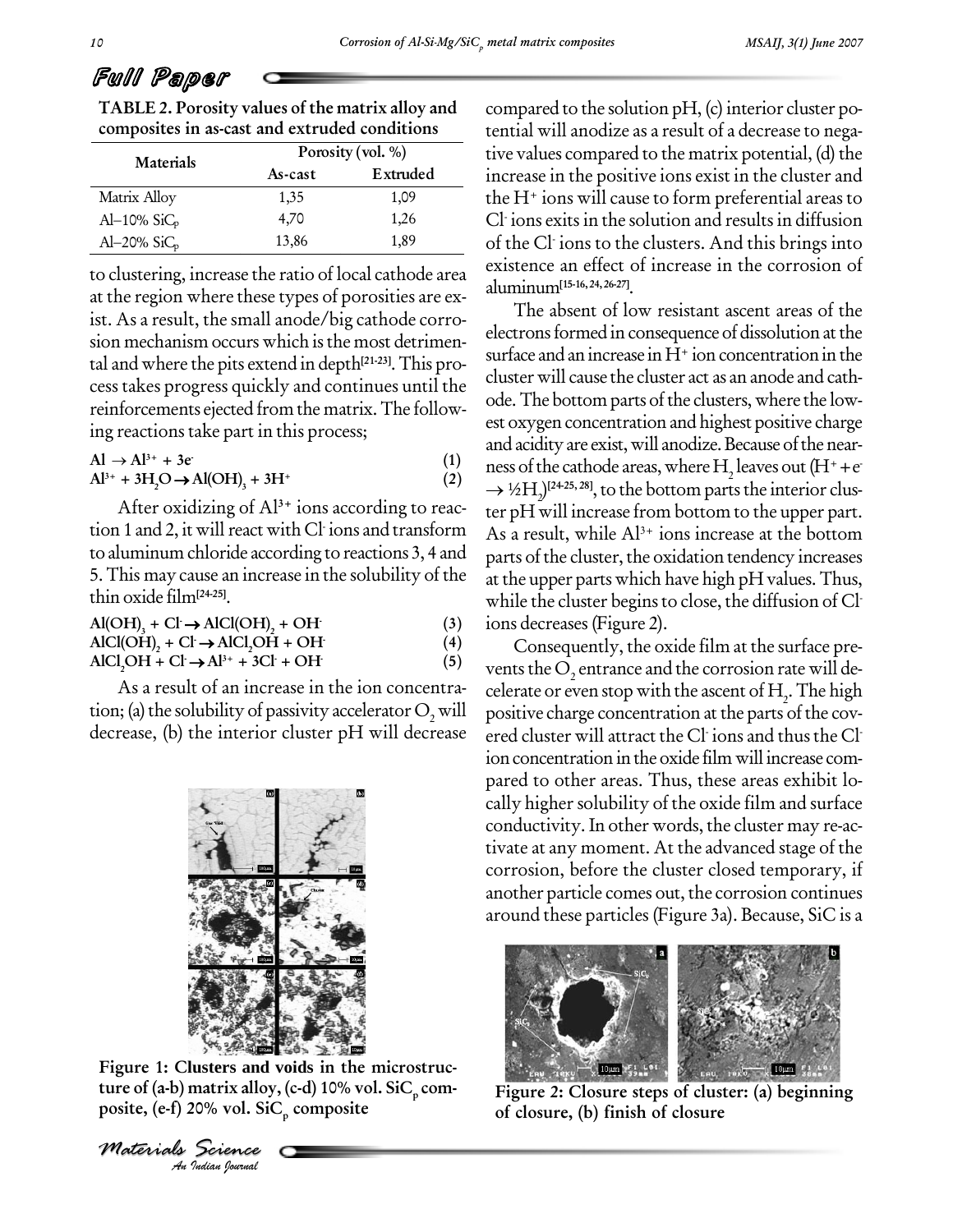# Full Paper

**TABLE 2. Porosity values of the matrix alloy and composites in as-cast and extruded conditions**

| Materials      | Porosity (vol. %) |          |    |  |
|----------------|-------------------|----------|----|--|
|                | As-cast           | Extruded | 1r |  |
| Matrix Alloy   | 1,35              | 1,09     | tŀ |  |
| Al-10% $SiC_p$ | 4.70              | 1,26     |    |  |
| Al-20% $SiC_p$ | 13,86             | 1,89     | O  |  |

to clustering, increase the ratio of local cathode area at the region where these types of porosities are ex ist. As a result, the small anode/big cathode corro sion mechanism occurs which is the most detrimental and where the pits extend in depth **[21-23]**.This pro cess takes progress quickly and continues until the reinforcements ejected from the matrix.The follow-

ing reactions take part in this process;  
\nAl 
$$
\rightarrow
$$
 Al<sup>3+</sup> + 3e  
\nAl<sup>3+</sup> + 3H<sub>2</sub>O  $\rightarrow$  Al(OH)<sub>3</sub> + 3H<sup>+</sup> (2)

greations take pa<br>  $\rightarrow$  Al<sup>3+</sup> + 3e<sup>+</sup><br>  $\rightarrow$  + 3H<sub>2</sub>O  $\rightarrow$  Al(OH<sub>2</sub><br>
After oxidizing<br>
aluminum chlorid<br>
aluminum chlorid<br>
This may cause an<br>
in oxide film<sup>[24-25]</sup>.<br>
(OH)<sub>3</sub> + Cl  $\rightarrow$  AlCl(<br>
Cl(OH)<sub>2</sub> + Cl  $\rightarrow$  AlCl(<br>
Cl( After oxidizing of Al**3+** ions according to reac tion 1 and 2, it will react with Cl<sup>-</sup>ions and transform As  $_{\rm A}$  result,  $_{\rm V}$ to aluminum chloride according to reactions 3, 4 and 5.This may cause an increase in the solubility of the thin oxide film<sup>[24-25]</sup>.<br>**A**<sup> $I$ </sup>(OH)  $+$  C<sup> $I$ </sup>  $\rightarrow$  A<sup>1</sup>C<sup> $I$ </sup>(OH)

| $\mu$ <sup>----</sup> -                                           |     | w                       |
|-------------------------------------------------------------------|-----|-------------------------|
| $AIOH$ <sub>1</sub> + Cl $\rightarrow$ AlCl(OH) <sub>2</sub> + OH | (3) | 1 <sup>C</sup>          |
| $AICI(OH)$ , + Cl $\rightarrow$ AlCl <sub>,</sub> OH + OH         | (4) |                         |
| $AICI_2OH + Cl \rightarrow Al^{3+} + 3Cl + OH$                    | (5) | $\overline{\mathbf{V}}$ |

As a result of an increase in the ion concentra tion; (a) the solubility of passivity accelerator  $O_2$  will decrease, (b) the interior cluster pH will decrease



**Indian Branch**<br> **Indian Bournal**<br> *Indian Bournal* **Figure 1: Clusters and voids in the microstruc ture of (a-b) matrix alloy, (c-d) 10% vol. SiC p com posite, (e-f) 20% vol. SiC p composite**

*Materials Science*

compared to the solution  $pH$ , (c) interior cluster potential will anodize as a result of a decrease to nega tive values compared to the matrix potential, (d) the increase in the positive ions exist in the cluster and the  $H^+$  ions will cause to form preferential areas to Cl - ions exits in the solution and results in diffusion of the Cl - ions to the clusters. And this brings into existence an effect of increase in the corrosion of aluminum**[15-16,24,26-27]**.

The absent of low resistant ascent areas of the electrons formed in consequence of dissolution at the surface and an increase in  $H^+$  ion concentration in the cluster will cause the cluster act as an anode and cath ode. The bottom parts of the clusters, where the lowest oxygen concentration and highest positive charge and acidity are exist, will anodize. Because of the near-<br>ness of the cathode areas, where H, leaves out  $(H^+ + e^-)$ ness of the cathode areas, where  $\rm H_2$  leaves out (H++e <sup>1</sup>/2H<sub>2</sub>)<sup>[24-25, 28]</sup>, to the bottom parts the interior cluster pH will increase from bottom to the upper part. As a result, while  $Al^{3+}$  ions increase at the bottom parts of the cluster, the oxidation tendency increases at the upper parts which have high pH values. Thus, while the cluster begins to close, the diffusion of Cl<sup>.</sup> ions decreases (Figure 2).<br>Consequently, the oxide film at the surface pre-

vents the  $\mathrm{O}_2$  entrance and the corrosion rate will decelerate or even stop with the ascent of  $\mathrm{H}_2$ . The high positive charge concentration at the parts of the covered cluster will attract the Cl<sup>.</sup> ions and thus the Cl<sup>.</sup> ion concentration in the oxide film will increase compared to other areas. Thus, these areas exhibit lo cally higher solubility of the oxide film and surface conductivity. In other words, the cluster may re-ac tivate at any moment. At the advanced stage of the corrosion, before the cluster closed temporary, if another particle comes out, the corrosion continues around these particles (Figure 3a). Because, SiC is a



**Figure 2: Closure steps of cluster: (a) beginning of closure, (b) finish of closure**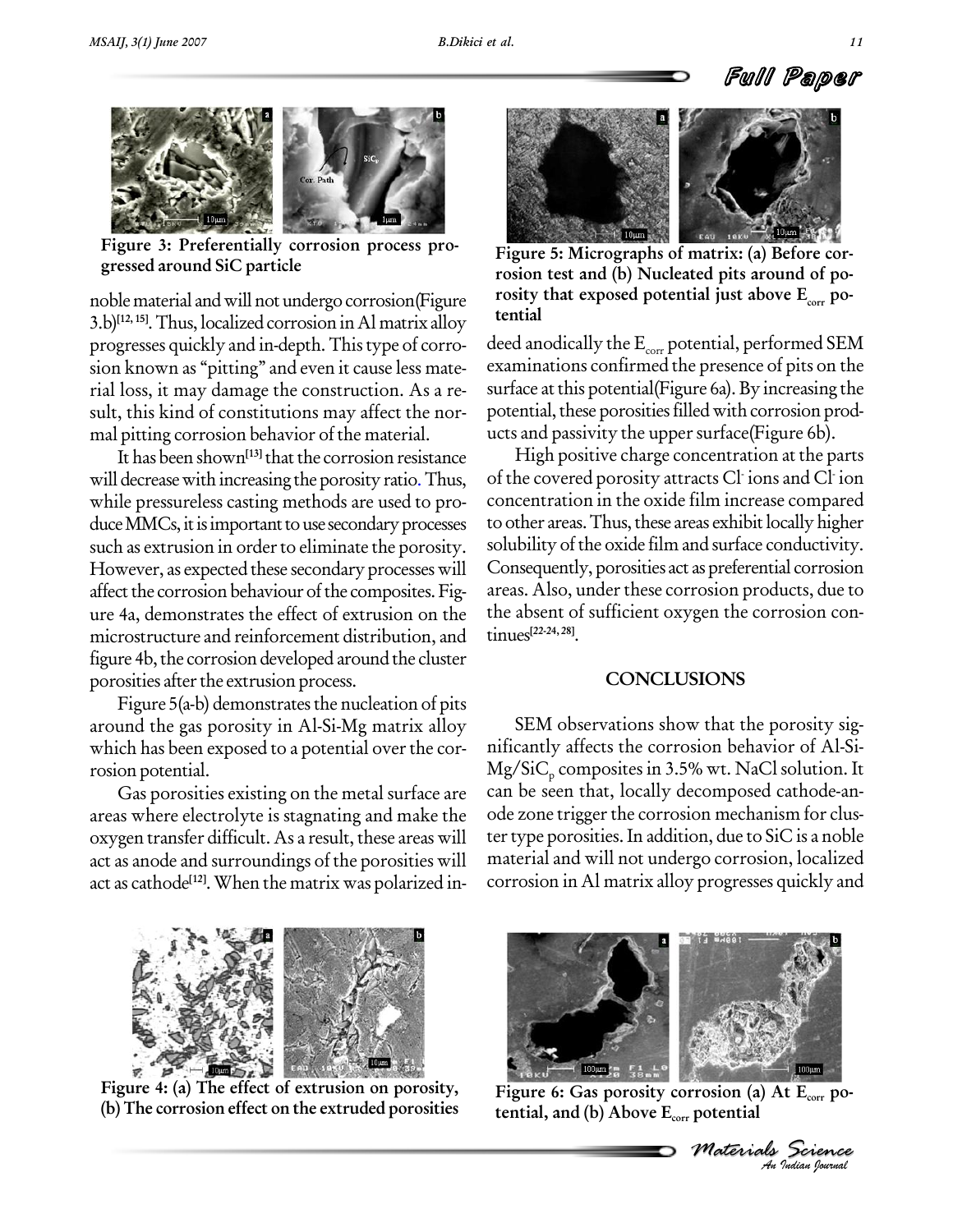

**Figure 3:Preferentially corrosion process pro gressed around SiC particle**

noble material and will not undergo corrosion(Figure rosity<br>2. b)[12,15] Thus localized compaign in Almatein allow tential 3.b) **[12, 15]**.Thus, localized corrosion inAl matrix alloy progresses quickly and in-depth. Thistype of corro sion known as "pitting" and even it cause less material loss, it may damage the construction. As a re sult, this kind of constitutions may affect the nor mal pitting corrosion behavior of the material.

It has been shown<sup>[13]</sup> that the corrosion resistance **F** will decrease with increasing the porosity ratio. Thus, while pressureless casting methods are used to pro duce MMCs, it is important to use secondary processes such as extrusion in order to eliminate the porosity. However, as expected these secondary processes will affect the corrosion behaviour of the composites. Figure 4a, demonstrates the effect of extrusion on the microstructure and reinforcement distribution, and figure 4b, the corrosion developed around the cluster porosities after the extrusion process.

Figure  $5(a-b)$  demonstrates the nucleation of pits around the gas porosity in Al-Si-Mg matrix alloy which has been exposed to a potential over the corrosion potential.

Gas porosities existing on the metal surface are areas where electrolyte is stagnating and make the oxygen transfer difficult. As a result, these areas will act as anode and surroundings of the porosities will act as cathode<sup>[12]</sup>. When the matrix was polarized in- cor1



**Figure 5: Micrographs of matrix: (a) Before cor rosion test and (b) Nucleated pits around of po rosity** that exposed potential just above  $\mathbf{E}_{\text{corr}}$  po-

deed anodically the  $E_{\text{corr}}$  potential, performed SEM examinations confirmed the presence of pits on the surface at this potential(Figure 6a). By increasing the potential, these porosities filled with corrosion products and passivity the upper surface (Figure 6b).

High positive charge concentration at the parts of the covered porosity attracts Cl - ions and Cl - ion concentration in the oxide film increase compared to other areas. Thus, these areas exhibit locally higher solubility of the oxide film and surface conductivity. Consequently, porosities act as preferential corrosion areas. Also, under these corrosion products, due to the absent of sufficient oxygen the corrosion con tinues **[22-24, 28]**.

### **CONCLUSIONS**

SEM observations show that the porosity sig nificantly affects the corrosion behavior of Al-Si-  $Mg/SiC<sub>p</sub>$  composites in 3.5% wt. NaCl solution. It can be seen that, locally decomposed cathode-anode zone trigger the corrosion mechanism for cluster type porosities. In addition, due to SiC is a noble material and will not undergo corrosion, localized corrosion in Al matrix alloy progresses quickly and



**Figure 4: (a) The effect of extrusion on porosity, (b) The corrosion effect on the extruded porosities**



**Figure 6: Gas porosity corrosion (a) At Ecorr po tential, and (b) Above Ecorr potential**